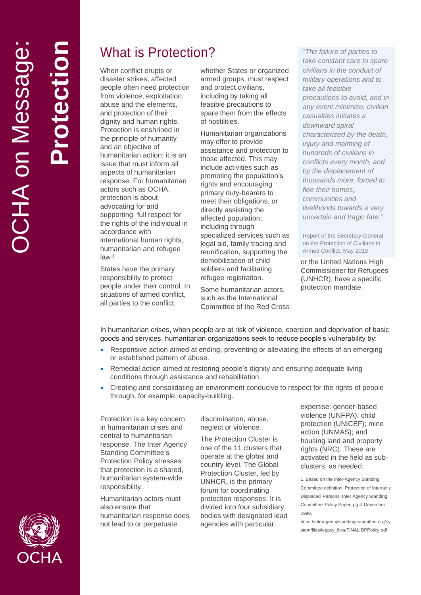**Protection**

# What is Protection?

When conflict erupts or disaster strikes, affected people often need protection from violence, exploitation , abuse and the elements, and protection of their dignity and human rights. Protection is enshrined in the principle of humanity and an objective of humanitarian action; it is a n issue that must inform all aspects of humanitarian response. For humanitarian actors such as OCHA, protection is about advocating for and supporting full respect for the rights of the individual in accordance with international human rights, humanitarian and refugee law<sup>1</sup>

States have the primary responsibility to protect people under their control. In situations of armed conflict, all parties to the conflict,

whether States or organized armed groups , must respect and protect civilians, including by taking all feasible precautions to spare them from the effects of hostilities.

Humanitarian organizations may offer to provide assistance and protection to those affected. This may include activities such as promoting the population's rights and encouraging primary duty -bearers to meet their obligations , or directly assisting the affected population, including through specialized services such as legal aid, family tracing and reunification, supporting the demobilization of child soldiers and facilitating refugee registration.

Some humanitarian actors, such as the International Committee of the Red Cross

"The failure of parties to "The failure of parties to<br>take constant care to spare<br>civilitans in the conduct of<br>military operations and to<br>take all feasible<br>precautions to avoid, and in<br>any event minimize, civiliar<br>casualties initiates a<br>downward spi *take constant care to spare civilians in the conduct of military operations and to take all feasible precautions to avoid, and in any event minimize, civilian casualties initiates a downward spiral characterized by the death, injury and maiming of hundreds of civilians in conflicts every month, and by the displacement of thousands more, forced to flee their homes, communities and livelihoods towards a very uncertain and tragic fate. "*

Report of the Secretary -General on the Protection of Civilians in Armed Conflict, May 2019

or the United Nations High Commissioner for Refugees (UNHCR), have a specific protection mandate.

In humanitarian crises, when people are at risk of violence, coercion and deprivation of basic goods and services , humanitarian organizations seek to reduce people's vulnerability by:

- Responsive action aimed at ending, preventing or alleviating the effects of an emerging or established pattern of abus e .
- Remedial action aimed at restoring people's dignity and ensuring adequate living conditions through assistance and rehabilitation.
- Creating and consolidating an environment conducive to respect for the rights of people through, for example, capacity -building .

Protection is a key concern in humanitarian crises and central to humanitarian response. The Inter Agency Standing Committee's Protection Policy stresses that protection is a shared, humanitarian system -wide responsibility.

Humanitarian actors must also ensure that humanitarian response does not lead to or perpetuate

discrimination, abuse, neglect or violence .

The Protection Cluster is one of the 11 clusters that operate at the global and country level. The Global Protection Cluster , led by UNHCR, is the primary forum for coordinating protection responses. It is divided into four subsidiary bodies with designated lead agencies with particular

expertise: gender -based violence (UNFPA); child protection (UNICEF); mine action (UNMAS); and housing land and property rights (NRC). These are activated in the field as sub clusters, as needed.

https://interagencystandingcommittee.org/sy stem/files/legacy\_files/FINALIDPPolicy.pdf



<sup>1.</sup> Based on the Inter -Agency Standing Committee definition, Protection of Internally Displaced Persons, Inter Agency Standing Committee Policy Paper, pg.4 December 1999,